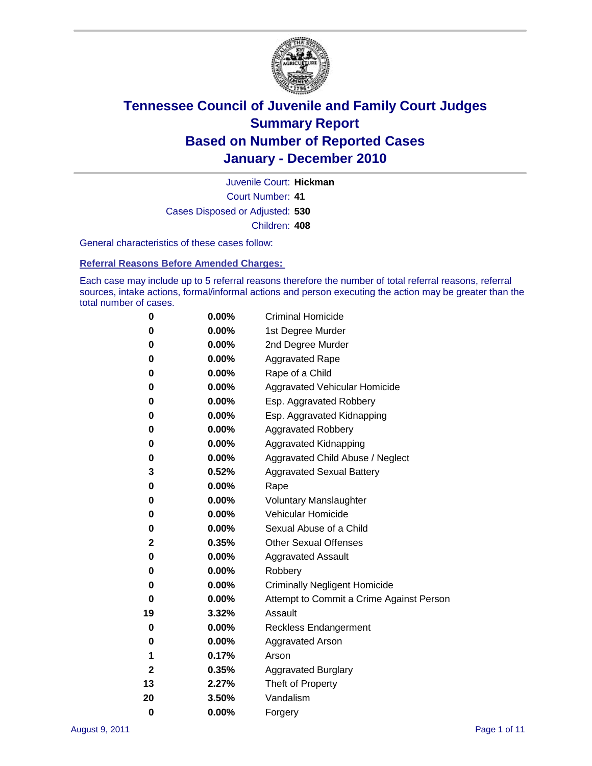

Court Number: **41** Juvenile Court: **Hickman** Cases Disposed or Adjusted: **530** Children: **408**

General characteristics of these cases follow:

**Referral Reasons Before Amended Charges:** 

Each case may include up to 5 referral reasons therefore the number of total referral reasons, referral sources, intake actions, formal/informal actions and person executing the action may be greater than the total number of cases.

| 0  | 0.00% | <b>Criminal Homicide</b>                 |  |  |  |
|----|-------|------------------------------------------|--|--|--|
| 0  | 0.00% | 1st Degree Murder                        |  |  |  |
| 0  | 0.00% | 2nd Degree Murder                        |  |  |  |
| 0  | 0.00% | <b>Aggravated Rape</b>                   |  |  |  |
| 0  | 0.00% | Rape of a Child                          |  |  |  |
| 0  | 0.00% | Aggravated Vehicular Homicide            |  |  |  |
| 0  | 0.00% | Esp. Aggravated Robbery                  |  |  |  |
| 0  | 0.00% | Esp. Aggravated Kidnapping               |  |  |  |
| 0  | 0.00% | <b>Aggravated Robbery</b>                |  |  |  |
| 0  | 0.00% | Aggravated Kidnapping                    |  |  |  |
| 0  | 0.00% | Aggravated Child Abuse / Neglect         |  |  |  |
| 3  | 0.52% | <b>Aggravated Sexual Battery</b>         |  |  |  |
| 0  | 0.00% | Rape                                     |  |  |  |
| 0  | 0.00% | <b>Voluntary Manslaughter</b>            |  |  |  |
| 0  | 0.00% | Vehicular Homicide                       |  |  |  |
| 0  | 0.00% | Sexual Abuse of a Child                  |  |  |  |
| 2  | 0.35% | <b>Other Sexual Offenses</b>             |  |  |  |
| 0  | 0.00% | <b>Aggravated Assault</b>                |  |  |  |
| 0  | 0.00% | Robbery                                  |  |  |  |
| 0  | 0.00% | <b>Criminally Negligent Homicide</b>     |  |  |  |
| 0  | 0.00% | Attempt to Commit a Crime Against Person |  |  |  |
| 19 | 3.32% | Assault                                  |  |  |  |
| 0  | 0.00% | <b>Reckless Endangerment</b>             |  |  |  |
| 0  | 0.00% | <b>Aggravated Arson</b>                  |  |  |  |
| 1  | 0.17% | Arson                                    |  |  |  |
| 2  | 0.35% | <b>Aggravated Burglary</b>               |  |  |  |
| 13 | 2.27% | Theft of Property                        |  |  |  |
| 20 | 3.50% | Vandalism                                |  |  |  |
| 0  | 0.00% | Forgery                                  |  |  |  |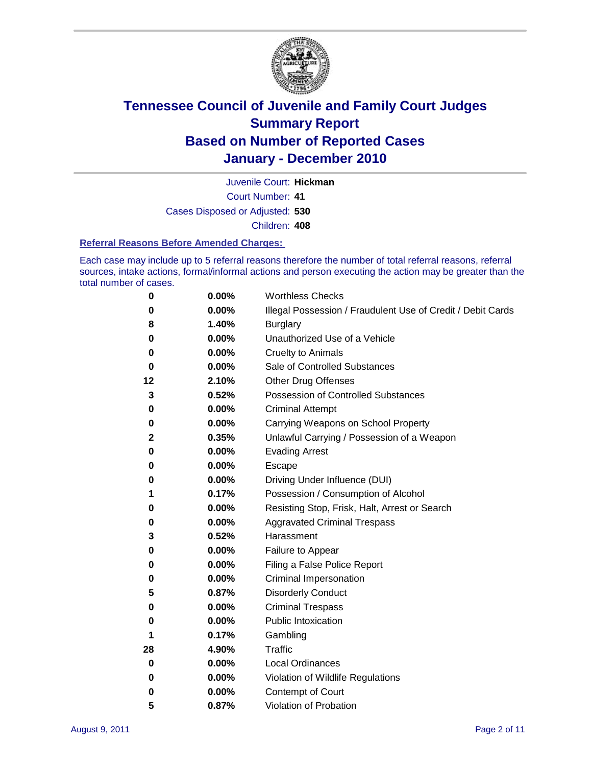

Juvenile Court: **Hickman**

Court Number: **41**

Cases Disposed or Adjusted: **530**

Children: **408**

#### **Referral Reasons Before Amended Charges:**

Each case may include up to 5 referral reasons therefore the number of total referral reasons, referral sources, intake actions, formal/informal actions and person executing the action may be greater than the total number of cases.

| 0  | 0.00% | <b>Worthless Checks</b>                                     |
|----|-------|-------------------------------------------------------------|
| 0  | 0.00% | Illegal Possession / Fraudulent Use of Credit / Debit Cards |
| 8  | 1.40% | <b>Burglary</b>                                             |
| 0  | 0.00% | Unauthorized Use of a Vehicle                               |
| 0  | 0.00% | <b>Cruelty to Animals</b>                                   |
| 0  | 0.00% | Sale of Controlled Substances                               |
| 12 | 2.10% | <b>Other Drug Offenses</b>                                  |
| 3  | 0.52% | <b>Possession of Controlled Substances</b>                  |
| 0  | 0.00% | <b>Criminal Attempt</b>                                     |
| 0  | 0.00% | Carrying Weapons on School Property                         |
| 2  | 0.35% | Unlawful Carrying / Possession of a Weapon                  |
| 0  | 0.00% | <b>Evading Arrest</b>                                       |
| 0  | 0.00% | Escape                                                      |
| 0  | 0.00% | Driving Under Influence (DUI)                               |
| 1  | 0.17% | Possession / Consumption of Alcohol                         |
| 0  | 0.00% | Resisting Stop, Frisk, Halt, Arrest or Search               |
| 0  | 0.00% | <b>Aggravated Criminal Trespass</b>                         |
| 3  | 0.52% | Harassment                                                  |
| 0  | 0.00% | Failure to Appear                                           |
| 0  | 0.00% | Filing a False Police Report                                |
| 0  | 0.00% | Criminal Impersonation                                      |
| 5  | 0.87% | <b>Disorderly Conduct</b>                                   |
| 0  | 0.00% | <b>Criminal Trespass</b>                                    |
| 0  | 0.00% | <b>Public Intoxication</b>                                  |
| 1  | 0.17% | Gambling                                                    |
| 28 | 4.90% | <b>Traffic</b>                                              |
| 0  | 0.00% | <b>Local Ordinances</b>                                     |
| 0  | 0.00% | Violation of Wildlife Regulations                           |
| 0  | 0.00% | Contempt of Court                                           |
| 5  | 0.87% | Violation of Probation                                      |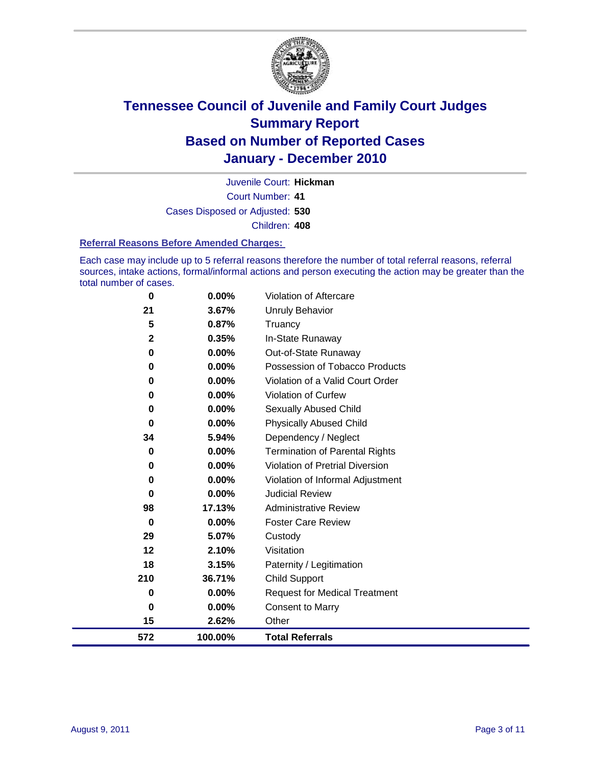

Court Number: **41** Juvenile Court: **Hickman** Cases Disposed or Adjusted: **530** Children: **408**

#### **Referral Reasons Before Amended Charges:**

Each case may include up to 5 referral reasons therefore the number of total referral reasons, referral sources, intake actions, formal/informal actions and person executing the action may be greater than the total number of cases.

| 0           | 0.00%    | <b>Violation of Aftercare</b>          |
|-------------|----------|----------------------------------------|
| 21          | 3.67%    | Unruly Behavior                        |
| 5           | 0.87%    | Truancy                                |
| $\mathbf 2$ | 0.35%    | In-State Runaway                       |
| 0           | $0.00\%$ | Out-of-State Runaway                   |
| 0           | 0.00%    | Possession of Tobacco Products         |
| 0           | 0.00%    | Violation of a Valid Court Order       |
| $\bf{0}$    | $0.00\%$ | <b>Violation of Curfew</b>             |
| 0           | $0.00\%$ | Sexually Abused Child                  |
| 0           | 0.00%    | <b>Physically Abused Child</b>         |
| 34          | 5.94%    | Dependency / Neglect                   |
| $\bf{0}$    | $0.00\%$ | Termination of Parental Rights         |
| 0           | $0.00\%$ | <b>Violation of Pretrial Diversion</b> |
| 0           | 0.00%    | Violation of Informal Adjustment       |
| 0           | 0.00%    | <b>Judicial Review</b>                 |
| 98          | 17.13%   | <b>Administrative Review</b>           |
| 0           | $0.00\%$ | <b>Foster Care Review</b>              |
| 29          | 5.07%    | Custody                                |
| 12          | 2.10%    | Visitation                             |
| 18          | 3.15%    | Paternity / Legitimation               |
| 210         | 36.71%   | <b>Child Support</b>                   |
| $\bf{0}$    | $0.00\%$ | <b>Request for Medical Treatment</b>   |
| $\bf{0}$    | 0.00%    | <b>Consent to Marry</b>                |
| 15          | 2.62%    | Other                                  |
| 572         | 100.00%  | <b>Total Referrals</b>                 |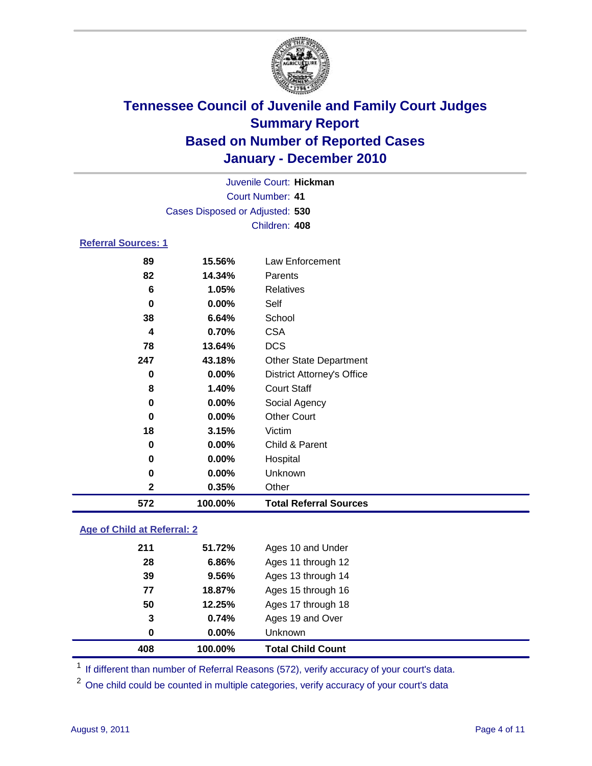

| 572                        | 100.00%                         | <b>Total Referral Sources</b>     |  |
|----------------------------|---------------------------------|-----------------------------------|--|
| 2                          | 0.35%                           | Other                             |  |
| 0                          | $0.00\%$                        | Unknown                           |  |
| 0                          | 0.00%                           | Hospital                          |  |
| 0                          | $0.00\%$                        | Child & Parent                    |  |
| 18                         | 3.15%                           | Victim                            |  |
| 0                          | $0.00\%$                        | <b>Other Court</b>                |  |
| 0                          | $0.00\%$                        | Social Agency                     |  |
| 8                          | 1.40%                           | <b>Court Staff</b>                |  |
| 0                          | $0.00\%$                        | <b>District Attorney's Office</b> |  |
| 247                        | 43.18%                          | <b>Other State Department</b>     |  |
| 78                         | 13.64%                          | <b>DCS</b>                        |  |
| 4                          | 0.70%                           | <b>CSA</b>                        |  |
| 38                         | 6.64%                           | School                            |  |
| $\bf{0}$                   | $0.00\%$                        | Self                              |  |
| 6                          | 1.05%                           | <b>Relatives</b>                  |  |
| 82                         | 14.34%                          | Parents                           |  |
| 89                         | 15.56%                          | Law Enforcement                   |  |
| <b>Referral Sources: 1</b> |                                 |                                   |  |
|                            |                                 | Children: 408                     |  |
|                            | Cases Disposed or Adjusted: 530 |                                   |  |
|                            | Court Number: 41                |                                   |  |
|                            | Juvenile Court: Hickman         |                                   |  |
|                            |                                 |                                   |  |

#### **Age of Child at Referral: 2**

| 0   | $0.00\%$ | Unknown            |  |
|-----|----------|--------------------|--|
|     |          |                    |  |
| 3   | 0.74%    | Ages 19 and Over   |  |
| 50  | 12.25%   | Ages 17 through 18 |  |
| 77  | 18.87%   | Ages 15 through 16 |  |
| 39  | 9.56%    | Ages 13 through 14 |  |
| 28  | 6.86%    | Ages 11 through 12 |  |
| 211 | 51.72%   | Ages 10 and Under  |  |
|     |          |                    |  |

<sup>1</sup> If different than number of Referral Reasons (572), verify accuracy of your court's data.

<sup>2</sup> One child could be counted in multiple categories, verify accuracy of your court's data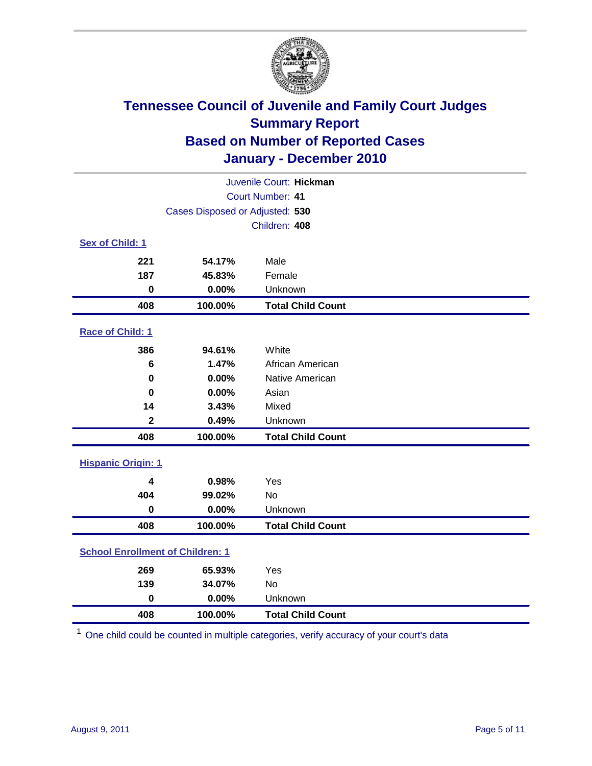

| Juvenile Court: Hickman                 |                                 |                          |  |  |
|-----------------------------------------|---------------------------------|--------------------------|--|--|
|                                         | Court Number: 41                |                          |  |  |
|                                         | Cases Disposed or Adjusted: 530 |                          |  |  |
|                                         |                                 | Children: 408            |  |  |
| Sex of Child: 1                         |                                 |                          |  |  |
| 221                                     | 54.17%                          | Male                     |  |  |
| 187                                     | 45.83%                          | Female                   |  |  |
| $\mathbf 0$                             | 0.00%                           | Unknown                  |  |  |
| 408                                     | 100.00%                         | <b>Total Child Count</b> |  |  |
| Race of Child: 1                        |                                 |                          |  |  |
| 386                                     | 94.61%                          | White                    |  |  |
| 6                                       | 1.47%                           | African American         |  |  |
| $\mathbf 0$                             | 0.00%                           | Native American          |  |  |
| $\bf{0}$                                | 0.00%                           | Asian                    |  |  |
| 14                                      | 3.43%                           | Mixed                    |  |  |
| $\mathbf 2$                             | 0.49%                           | Unknown                  |  |  |
| 408                                     | 100.00%                         | <b>Total Child Count</b> |  |  |
| <b>Hispanic Origin: 1</b>               |                                 |                          |  |  |
| 4                                       | 0.98%                           | Yes                      |  |  |
| 404                                     | 99.02%                          | No                       |  |  |
| $\mathbf 0$                             | 0.00%                           | Unknown                  |  |  |
| 408                                     | 100.00%                         | <b>Total Child Count</b> |  |  |
| <b>School Enrollment of Children: 1</b> |                                 |                          |  |  |
| 269                                     | 65.93%                          | Yes                      |  |  |
| 139                                     | 34.07%                          | <b>No</b>                |  |  |
| $\bf{0}$                                | 0.00%                           | Unknown                  |  |  |
| 408                                     | 100.00%                         | <b>Total Child Count</b> |  |  |

One child could be counted in multiple categories, verify accuracy of your court's data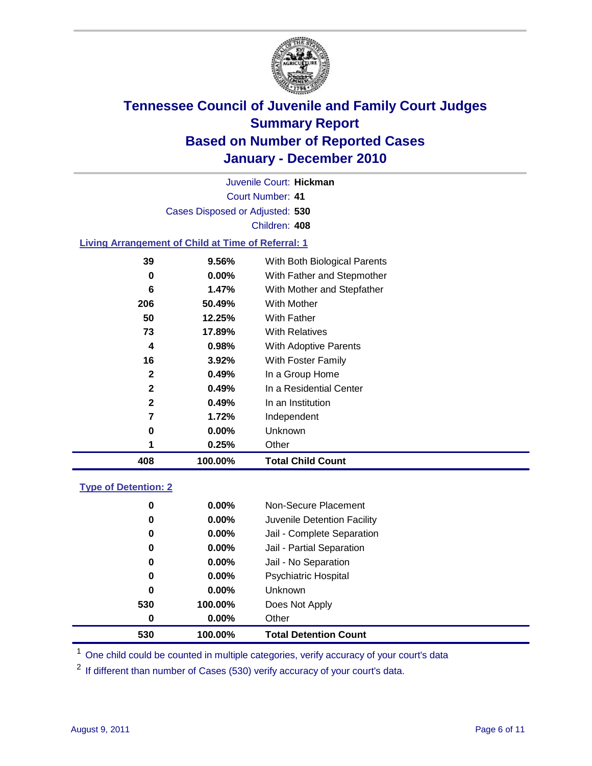

Court Number: **41** Juvenile Court: **Hickman** Cases Disposed or Adjusted: **530** Children: **408**

#### **Living Arrangement of Child at Time of Referral: 1**

| 408 | 100.00%  | <b>Total Child Count</b>     |
|-----|----------|------------------------------|
| 1   | 0.25%    | Other                        |
| 0   | 0.00%    | Unknown                      |
| 7   | 1.72%    | Independent                  |
| 2   | 0.49%    | In an Institution            |
| 2   | 0.49%    | In a Residential Center      |
| 2   | 0.49%    | In a Group Home              |
| 16  | 3.92%    | With Foster Family           |
| 4   | 0.98%    | <b>With Adoptive Parents</b> |
| 73  | 17.89%   | <b>With Relatives</b>        |
| 50  | 12.25%   | With Father                  |
| 206 | 50.49%   | With Mother                  |
| 6   | 1.47%    | With Mother and Stepfather   |
| 0   | $0.00\%$ | With Father and Stepmother   |
| 39  | 9.56%    | With Both Biological Parents |
|     |          |                              |

#### **Type of Detention: 2**

| 530      | 100.00%  | <b>Total Detention Count</b> |
|----------|----------|------------------------------|
| 0        | $0.00\%$ | Other                        |
| 530      | 100.00%  | Does Not Apply               |
| $\bf{0}$ | $0.00\%$ | <b>Unknown</b>               |
| 0        | 0.00%    | <b>Psychiatric Hospital</b>  |
| 0        | 0.00%    | Jail - No Separation         |
| 0        | $0.00\%$ | Jail - Partial Separation    |
| 0        | $0.00\%$ | Jail - Complete Separation   |
| 0        | $0.00\%$ | Juvenile Detention Facility  |
| 0        | $0.00\%$ | Non-Secure Placement         |
|          |          |                              |

<sup>1</sup> One child could be counted in multiple categories, verify accuracy of your court's data

<sup>2</sup> If different than number of Cases (530) verify accuracy of your court's data.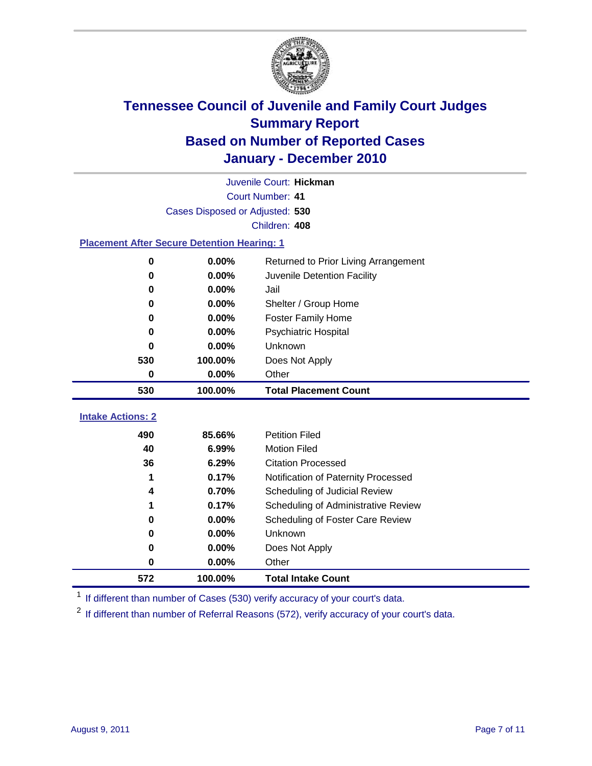

|                                                    | Juvenile Court: Hickman         |                                      |  |  |  |
|----------------------------------------------------|---------------------------------|--------------------------------------|--|--|--|
|                                                    | Court Number: 41                |                                      |  |  |  |
|                                                    | Cases Disposed or Adjusted: 530 |                                      |  |  |  |
|                                                    |                                 | Children: 408                        |  |  |  |
| <b>Placement After Secure Detention Hearing: 1</b> |                                 |                                      |  |  |  |
| 0                                                  | 0.00%                           | Returned to Prior Living Arrangement |  |  |  |
| $\bf{0}$                                           | 0.00%                           | Juvenile Detention Facility          |  |  |  |
| 0                                                  | 0.00%                           | Jail                                 |  |  |  |
| 0                                                  | 0.00%                           | Shelter / Group Home                 |  |  |  |
| $\bf{0}$                                           | 0.00%                           | <b>Foster Family Home</b>            |  |  |  |
| 0                                                  | 0.00%                           | Psychiatric Hospital                 |  |  |  |
| O                                                  | 0.00%                           | Unknown                              |  |  |  |
| 530                                                | 100.00%                         | Does Not Apply                       |  |  |  |
| 0                                                  | 0.00%                           | Other                                |  |  |  |
| 530                                                | 100.00%                         | <b>Total Placement Count</b>         |  |  |  |
| <b>Intake Actions: 2</b>                           |                                 |                                      |  |  |  |
|                                                    |                                 |                                      |  |  |  |
| 490                                                | 85.66%                          | <b>Petition Filed</b>                |  |  |  |
| 40                                                 | 6.99%                           | <b>Motion Filed</b>                  |  |  |  |
| 36                                                 | 6.29%                           | <b>Citation Processed</b>            |  |  |  |
| 1                                                  | 0.17%                           | Notification of Paternity Processed  |  |  |  |
| 4                                                  | 0.70%                           | Scheduling of Judicial Review        |  |  |  |
| 1                                                  | 0.17%                           | Scheduling of Administrative Review  |  |  |  |
| 0                                                  | 0.00%                           | Scheduling of Foster Care Review     |  |  |  |
| 0                                                  | 0.00%                           | Unknown                              |  |  |  |
| 0                                                  | 0.00%                           | Does Not Apply                       |  |  |  |
| 0                                                  | 0.00%                           | Other                                |  |  |  |
| 572                                                | 100.00%                         | <b>Total Intake Count</b>            |  |  |  |

<sup>1</sup> If different than number of Cases (530) verify accuracy of your court's data.

<sup>2</sup> If different than number of Referral Reasons (572), verify accuracy of your court's data.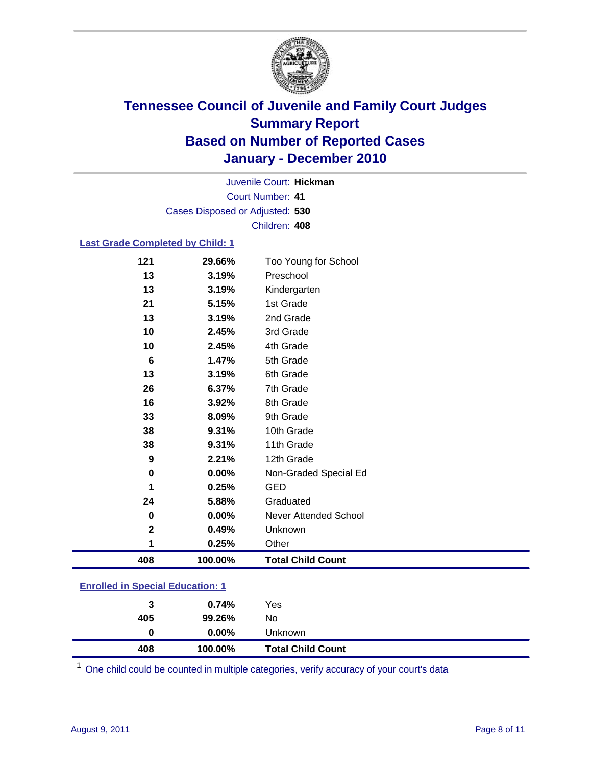

Court Number: **41** Juvenile Court: **Hickman** Cases Disposed or Adjusted: **530** Children: **408**

#### **Last Grade Completed by Child: 1**

| 408         | 100.00% | <b>Total Child Count</b> |
|-------------|---------|--------------------------|
| 1           | 0.25%   | Other                    |
| $\mathbf 2$ | 0.49%   | Unknown                  |
| 0           | 0.00%   | Never Attended School    |
| 24          | 5.88%   | Graduated                |
| 1           | 0.25%   | GED                      |
| 0           | 0.00%   | Non-Graded Special Ed    |
| 9           | 2.21%   | 12th Grade               |
| 38          | 9.31%   | 11th Grade               |
| 38          | 9.31%   | 10th Grade               |
| 33          | 8.09%   | 9th Grade                |
| 16          | 3.92%   | 8th Grade                |
| 26          | 6.37%   | 7th Grade                |
| 13          | 3.19%   | 6th Grade                |
| 6           | 1.47%   | 5th Grade                |
| 10          | 2.45%   | 4th Grade                |
| 10          | 2.45%   | 3rd Grade                |
| 13          | 3.19%   | 2nd Grade                |
| 21          | 5.15%   | 1st Grade                |
| 13          | 3.19%   | Kindergarten             |
| 13          | 3.19%   | Preschool                |
| 121         | 29.66%  | Too Young for School     |

### **Enrolled in Special Education: 1**

| 408 | 100.00%  | <b>Total Child Count</b> |  |
|-----|----------|--------------------------|--|
| 0   | $0.00\%$ | Unknown                  |  |
| 405 | 99.26%   | No                       |  |
| 3   | 0.74%    | Yes                      |  |
|     |          |                          |  |

One child could be counted in multiple categories, verify accuracy of your court's data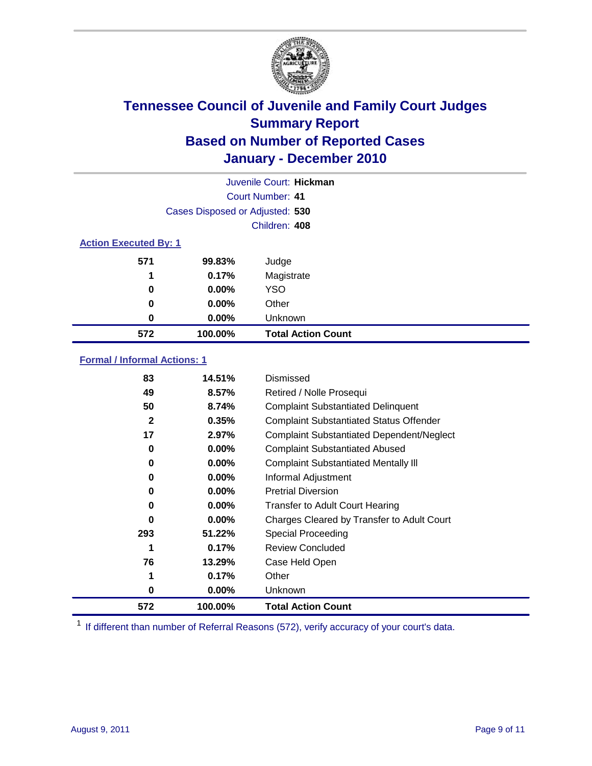

|                              | Juvenile Court: Hickman         |                           |  |
|------------------------------|---------------------------------|---------------------------|--|
|                              | Court Number: 41                |                           |  |
|                              | Cases Disposed or Adjusted: 530 |                           |  |
|                              | Children: 408                   |                           |  |
| <b>Action Executed By: 1</b> |                                 |                           |  |
| 571                          | 99.83%                          | Judge                     |  |
| 1                            | 0.17%                           | Magistrate                |  |
| 0                            | $0.00\%$                        | <b>YSO</b>                |  |
| 0                            | 0.00%                           | Other                     |  |
| 0                            | 0.00%                           | Unknown                   |  |
| 572                          | 100.00%                         | <b>Total Action Count</b> |  |

#### **Formal / Informal Actions: 1**

| 83           | 14.51%   | Dismissed                                        |
|--------------|----------|--------------------------------------------------|
| 49           | 8.57%    | Retired / Nolle Prosequi                         |
| 50           | 8.74%    | <b>Complaint Substantiated Delinquent</b>        |
| $\mathbf{2}$ | 0.35%    | <b>Complaint Substantiated Status Offender</b>   |
| 17           | 2.97%    | <b>Complaint Substantiated Dependent/Neglect</b> |
| 0            | $0.00\%$ | <b>Complaint Substantiated Abused</b>            |
| 0            | $0.00\%$ | <b>Complaint Substantiated Mentally III</b>      |
| 0            | $0.00\%$ | Informal Adjustment                              |
| 0            | $0.00\%$ | <b>Pretrial Diversion</b>                        |
| 0            | $0.00\%$ | <b>Transfer to Adult Court Hearing</b>           |
| 0            | $0.00\%$ | Charges Cleared by Transfer to Adult Court       |
| 293          | 51.22%   | Special Proceeding                               |
|              | 0.17%    | <b>Review Concluded</b>                          |
| 76           | 13.29%   | Case Held Open                                   |
| 1            | 0.17%    | Other                                            |
| 0            | $0.00\%$ | <b>Unknown</b>                                   |
| 572          | 100.00%  | <b>Total Action Count</b>                        |

<sup>1</sup> If different than number of Referral Reasons (572), verify accuracy of your court's data.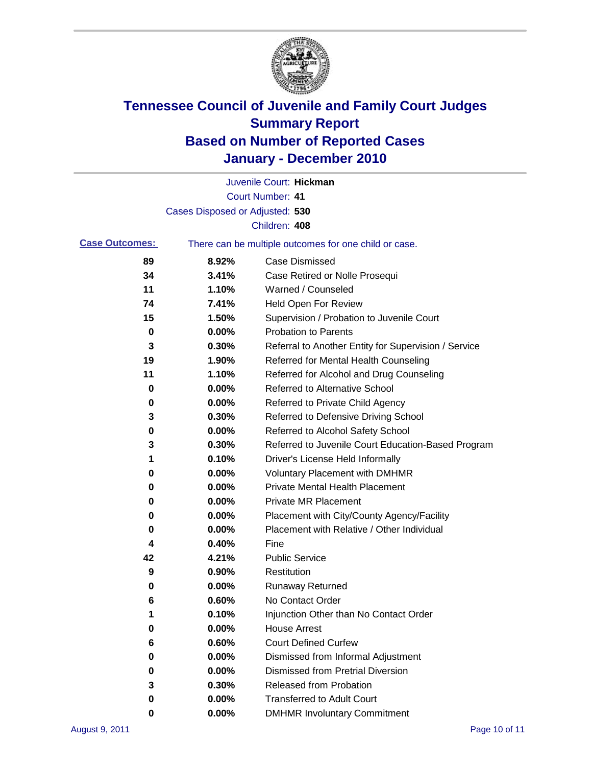

|                       |                                 | Juvenile Court: Hickman                               |
|-----------------------|---------------------------------|-------------------------------------------------------|
|                       |                                 | <b>Court Number: 41</b>                               |
|                       | Cases Disposed or Adjusted: 530 |                                                       |
|                       |                                 | Children: 408                                         |
| <b>Case Outcomes:</b> |                                 | There can be multiple outcomes for one child or case. |
| 89                    | 8.92%                           | <b>Case Dismissed</b>                                 |
| 34                    | 3.41%                           | Case Retired or Nolle Prosequi                        |
| 11                    | 1.10%                           | Warned / Counseled                                    |
| 74                    | 7.41%                           | <b>Held Open For Review</b>                           |
| 15                    | 1.50%                           | Supervision / Probation to Juvenile Court             |
| 0                     | 0.00%                           | <b>Probation to Parents</b>                           |
| 3                     | 0.30%                           | Referral to Another Entity for Supervision / Service  |
| 19                    | 1.90%                           | Referred for Mental Health Counseling                 |
| 11                    | 1.10%                           | Referred for Alcohol and Drug Counseling              |
| 0                     | 0.00%                           | Referred to Alternative School                        |
| 0                     | 0.00%                           | Referred to Private Child Agency                      |
| 3                     | 0.30%                           | Referred to Defensive Driving School                  |
| 0                     | 0.00%                           | Referred to Alcohol Safety School                     |
| 3                     | 0.30%                           | Referred to Juvenile Court Education-Based Program    |
| 1                     | 0.10%                           | Driver's License Held Informally                      |
| 0                     | 0.00%                           | <b>Voluntary Placement with DMHMR</b>                 |
| 0                     | 0.00%                           | <b>Private Mental Health Placement</b>                |
| 0                     | 0.00%                           | <b>Private MR Placement</b>                           |
| 0                     | 0.00%                           | Placement with City/County Agency/Facility            |
| 0                     | 0.00%                           | Placement with Relative / Other Individual            |
| 4                     | 0.40%                           | Fine                                                  |
| 42                    | 4.21%                           | <b>Public Service</b>                                 |
| 9                     | 0.90%                           | Restitution                                           |
| 0                     | 0.00%                           | Runaway Returned                                      |
| 6                     | 0.60%                           | No Contact Order                                      |
| 1                     | 0.10%                           | Injunction Other than No Contact Order                |
| 0                     | 0.00%                           | <b>House Arrest</b>                                   |
| 6                     | 0.60%                           | <b>Court Defined Curfew</b>                           |
| 0                     | 0.00%                           | Dismissed from Informal Adjustment                    |
| 0                     | 0.00%                           | <b>Dismissed from Pretrial Diversion</b>              |
| 3                     | 0.30%                           | Released from Probation                               |
| 0                     | 0.00%                           | <b>Transferred to Adult Court</b>                     |
| 0                     | $0.00\%$                        | <b>DMHMR Involuntary Commitment</b>                   |